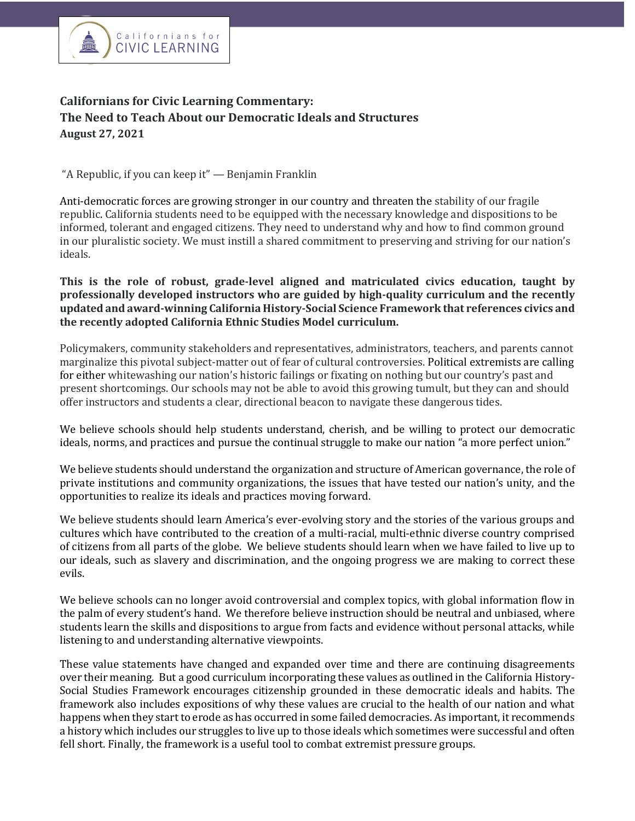

## **Californians for Civic Learning Commentary:** The Need to Teach About our Democratic Ideals and Structures **August 27, 2021**

"A Republic, if you can keep it"  $-$  Benjamin Franklin

Anti-democratic forces are growing stronger in our country and threaten the stability of our fragile republic. California students need to be equipped with the necessary knowledge and dispositions to be informed, tolerant and engaged citizens. They need to understand why and how to find common ground in our pluralistic society. We must instill a shared commitment to preserving and striving for our nation's ideals.

## **This** is the role of robust, grade-level aligned and matriculated civics education, taught by professionally developed instructors who are guided by high-quality curriculum and the recently **updated and award-winning California History-Social Science Framework that references civics and**  the recently adopted California Ethnic Studies Model curriculum.

Policymakers, community stakeholders and representatives, administrators, teachers, and parents cannot marginalize this pivotal subject-matter out of fear of cultural controversies. Political extremists are calling for either whitewashing our nation's historic failings or fixating on nothing but our country's past and present shortcomings. Our schools may not be able to avoid this growing tumult, but they can and should offer instructors and students a clear, directional beacon to navigate these dangerous tides.

We believe schools should help students understand, cherish, and be willing to protect our democratic ideals, norms, and practices and pursue the continual struggle to make our nation "a more perfect union."

We believe students should understand the organization and structure of American governance, the role of private institutions and community organizations, the issues that have tested our nation's unity, and the opportunities to realize its ideals and practices moving forward.

We believe students should learn America's ever-evolving story and the stories of the various groups and cultures which have contributed to the creation of a multi-racial, multi-ethnic diverse country comprised of citizens from all parts of the globe. We believe students should learn when we have failed to live up to our ideals, such as slavery and discrimination, and the ongoing progress we are making to correct these evils.

We believe schools can no longer avoid controversial and complex topics, with global information flow in the palm of every student's hand. We therefore believe instruction should be neutral and unbiased, where students learn the skills and dispositions to argue from facts and evidence without personal attacks, while listening to and understanding alternative viewpoints.

These value statements have changed and expanded over time and there are continuing disagreements over their meaning. But a good curriculum incorporating these values as outlined in the California History-Social Studies Framework encourages citizenship grounded in these democratic ideals and habits. The framework also includes expositions of why these values are crucial to the health of our nation and what happens when they start to erode as has occurred in some failed democracies. As important, it recommends a history which includes our struggles to live up to those ideals which sometimes were successful and often fell short. Finally, the framework is a useful tool to combat extremist pressure groups.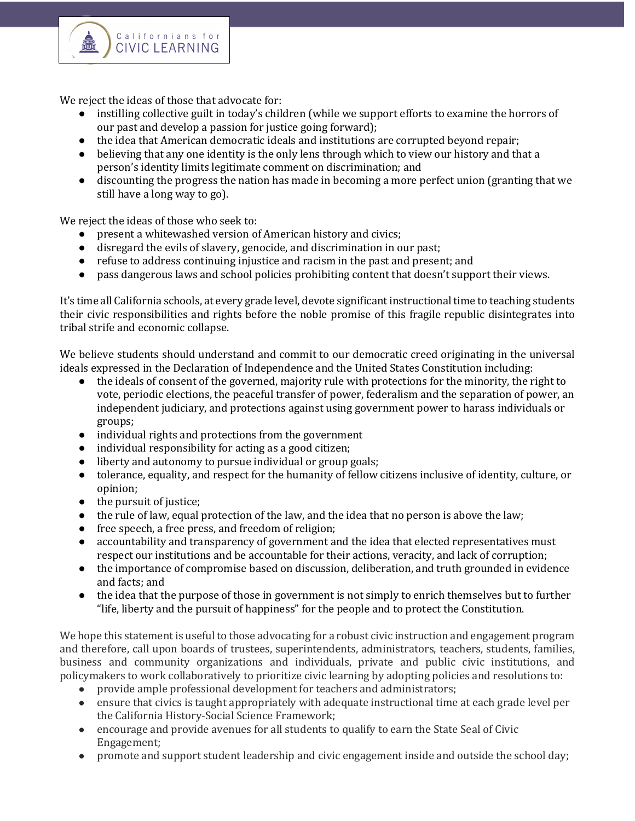

We reject the ideas of those that advocate for:

Californians for

- instilling collective guilt in today's children (while we support efforts to examine the horrors of our past and develop a passion for justice going forward);
- the idea that American democratic ideals and institutions are corrupted beyond repair;
- believing that any one identity is the only lens through which to view our history and that a person's identity limits legitimate comment on discrimination; and
- discounting the progress the nation has made in becoming a more perfect union (granting that we still have a long way to go).

We reject the ideas of those who seek to:

- present a whitewashed version of American history and civics;
- disregard the evils of slavery, genocide, and discrimination in our past;
- refuse to address continuing injustice and racism in the past and present; and
- pass dangerous laws and school policies prohibiting content that doesn't support their views.

It's time all California schools, at every grade level, devote significant instructional time to teaching students their civic responsibilities and rights before the noble promise of this fragile republic disintegrates into tribal strife and economic collapse.

We believe students should understand and commit to our democratic creed originating in the universal ideals expressed in the Declaration of Independence and the United States Constitution including:

- $\bullet$  the ideals of consent of the governed, majority rule with protections for the minority, the right to vote, periodic elections, the peaceful transfer of power, federalism and the separation of power, an independent judiciary, and protections against using government power to harass individuals or groups;
- individual rights and protections from the government
- $\bullet$  individual responsibility for acting as a good citizen;
- liberty and autonomy to pursue individual or group goals;
- tolerance, equality, and respect for the humanity of fellow citizens inclusive of identity, culture, or opinion;
- $\bullet$  the pursuit of justice;
- $\bullet$  the rule of law, equal protection of the law, and the idea that no person is above the law;
- free speech, a free press, and freedom of religion;
- accountability and transparency of government and the idea that elected representatives must respect our institutions and be accountable for their actions, veracity, and lack of corruption;
- the importance of compromise based on discussion, deliberation, and truth grounded in evidence and facts; and
- the idea that the purpose of those in government is not simply to enrich themselves but to further "life, liberty and the pursuit of happiness" for the people and to protect the Constitution.

We hope this statement is useful to those advocating for a robust civic instruction and engagement program and therefore, call upon boards of trustees, superintendents, administrators, teachers, students, families, business and community organizations and individuals, private and public civic institutions, and policymakers to work collaboratively to prioritize civic learning by adopting policies and resolutions to:

- provide ample professional development for teachers and administrators;
- ensure that civics is taught appropriately with adequate instructional time at each grade level per the California History-Social Science Framework;
- encourage and provide avenues for all students to qualify to earn the State Seal of Civic Engagement;
- promote and support student leadership and civic engagement inside and outside the school day;